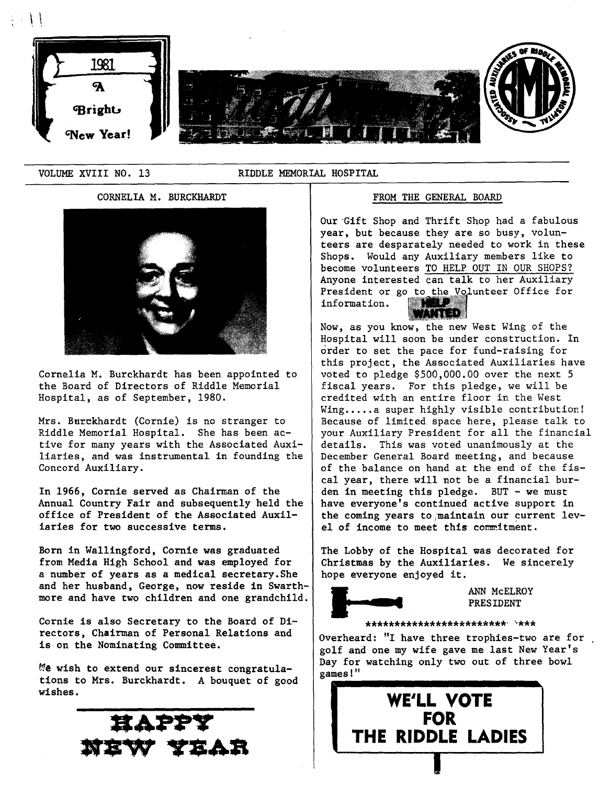

VOLUME XVIII NO. 13 RIDDLE MEMORIAL HOSPITAL

# CORNELIA M. BURCKHARDT FROM THE GENERAL BOARD



Cornelia M. Burckhardt has been appointed to the Board of Directors of Riddle Memorial Hospital, as of September, 1980.

Mrs. Burckhardt (Cornie) is no stranger to Riddle Memorial Hospital. She has been active for many years with the Associated Auxiliaries, and was instrumental in founding the Concord Auxiliary.

In 1966, Cornie served as Chairman of the Annual Country Fair and subsequently held the office of President of the Associated Auxiliaries for two successive terms.

Born in Wallingford, Cornie was graduated from Media High School and was employed for a number of years as a medical secretary.She and her husband, George, now reside in Swarthmore and have two children and one grandchild.

Cornie is also Secretary to the Board of Directors, Chairman of Personal Relations and is on the Nominating Committee.

 $t$ te wish to extend our sincerest congratulations to Mrs. Burckhardt. A bouquet of good wishes.



Our Gift Shop and Thrift Shop had a fabulous year, but because they are so busy, volunteers are desparately needed to work in these Shops. Would any Auxiliary members like to become volunteers TO HELP OUT IN OUR SHOPS? Anyone interested can talk to her Auxiliary President or go to the Volunteer Office for information. **MANDER** 

Now, as you know, the new West Wing of the Hospital will soon be under construction. In order to set the pace for fund-raising for this project, the Associated Auxiliaries have voted to pledge \$500,000.00 over the next 5 fiscal years. For this pledge, we will be credited with an entire floor in the West  $Wing...a$  super highly visible contribution! Because of limited space here, please talk to your Auxiliary President for all the financial details. This was voted unanimously at the December General Board meeting, and because of the balance on hand at the end of the fiscal year, there will not be a financial burden in meeting this pledge. BUT - we must have everyone's continued active support in the coming years to maintain our current level of income to meet this commitment.

The Lobby of the Hospital was decorated for Christmas by the Auxiliaries. We sincerely hope everyone enjoyed it.



ANN McELROY PRESIDENT

\*\*\*\*\*\*\*\*\*\*\*\*\*\*\*\*\*\*\*\*\*\*\*\*' '·\*\*\*

Overheard: "I have three trophies-two are for golf and one my wife gave me last New Year's Day for watching only two out of three bowl games!"

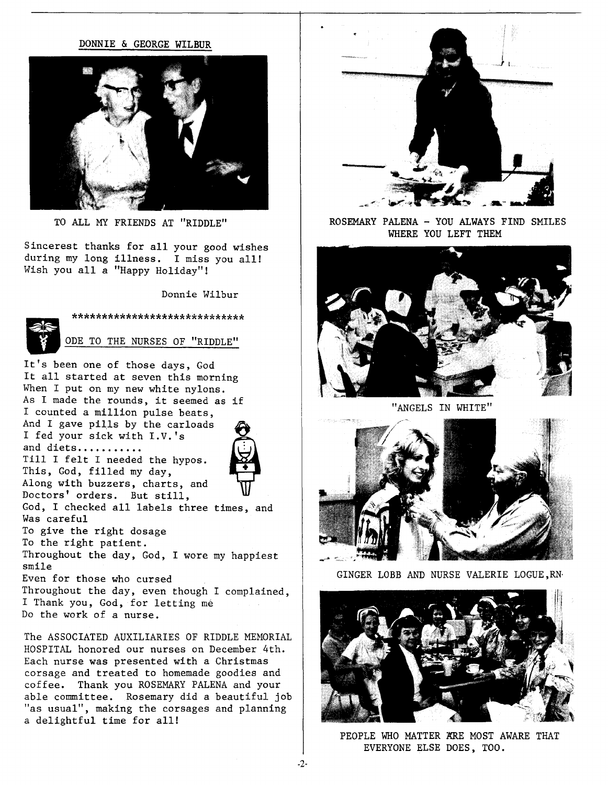### DONNIE & GEORGE WILBUR



TO ALL MY FRIENDS AT "RIDDLE"

Sincerest thanks for all your good wishes during my long illness. I miss you all! Wish you all a "Happy Holiday"!

Donnie Wilbur



ODE TO THE NURSES OF "RIDDLE"

\*\*\*\*\*\*\*\*\*\*\*\*\*\*\*\*\*\*\*\*\*\*\*\*\*\*\*\*\*\*\*\*\*\*

It's been one of those days, God It all started at seven this morning When I put on my new white nylons. As I made the rounds, it seemed as if I counted a million pulse beats, And I gave pills by the carloads I fed your sick with I.V. 's and diets........... Till I felt I needed the hypos. This, God, filled my day, Along with buzzers, charts, and Doctors' orders. But still, God, I checked all labels three times, and To give the right dosage To the right patient. Throughout the day, God, I wore my happiest



Was careful

smile

Even for those who cursed Throughout the day, even though I complained, I Thank you, God, for letting me Do the work of a nurse.

The ASSOCIATED AUXILIARIES OF RIDDLE MEMORIAL HOSPITAL honored our nurses on December 4th. Each nurse was presented with a Christmas corsage and treated to homemade goodies and coffee. Thank you ROSEMARY PALENA and your able committee. Rosemary did a beautiful job "as usual", making the corsages and planning a delightful time for all!



ROSEMARY PALENA - YOU ALWAYS FIND SMILES WHERE YOU LEFT THEM



"ANGELS IN WHITE"



GINGER LOBB AND NURSE VALERIE LOGUE,RN·



PEOPLE WHO MATTER KRE MOST AWARE THAT EVERYONE ELSE DOES, TOO.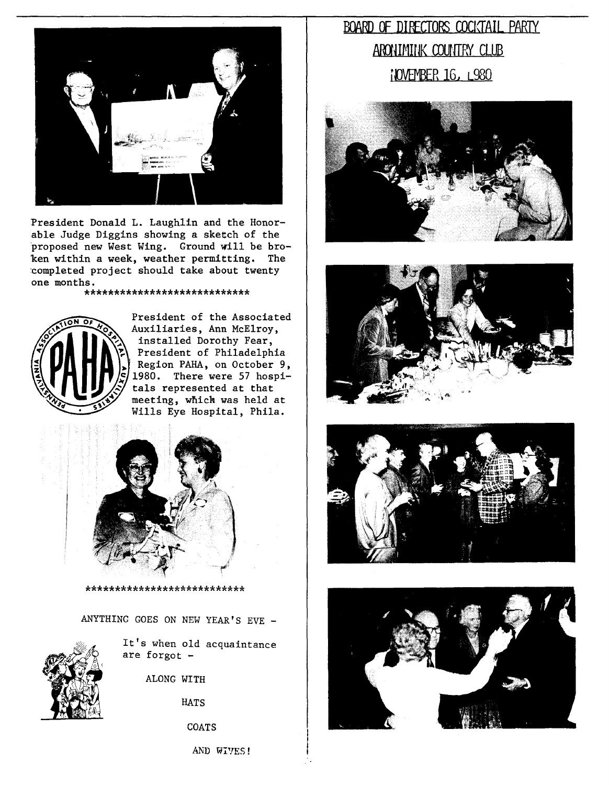

President Donald L. Laughlin and the Honorable Judge Diggins showing a sketch of the proposed new West Wing. Ground will be broken within a week, weather permitting. The :completed project should take about twenty one months.

### \*\*\*\*\*\*\*\*\*\*\*\*\*\*\*\*\*\*\*\*\*\*\*\*\*\*\*\*



President of the Associated Auxiliaries, Ann McElroy, installed Dorothy Fear, President of Philadelphia Region PAHA, on October 9, 1980. There were 57 hospitals represented at that meeting, which was held at Wills Eye Hospital, Phila.



#### \*\*\*\*\*\*\*\*\*\*\*\*\*\*\*\*\*\*\*\*\*\*\*\*\*\*\*

ANYTHING GOES ON NEW YEAR'S EVE -



It's when old acquaintance are forgot -

ALONG WITH

HATS

COATS

AND WIVES!

# BOARD OF DIRECTORS COCKTAIL PARTY ARONIMINK COUNTRY CLUB **IOVEMBER 16, L980**







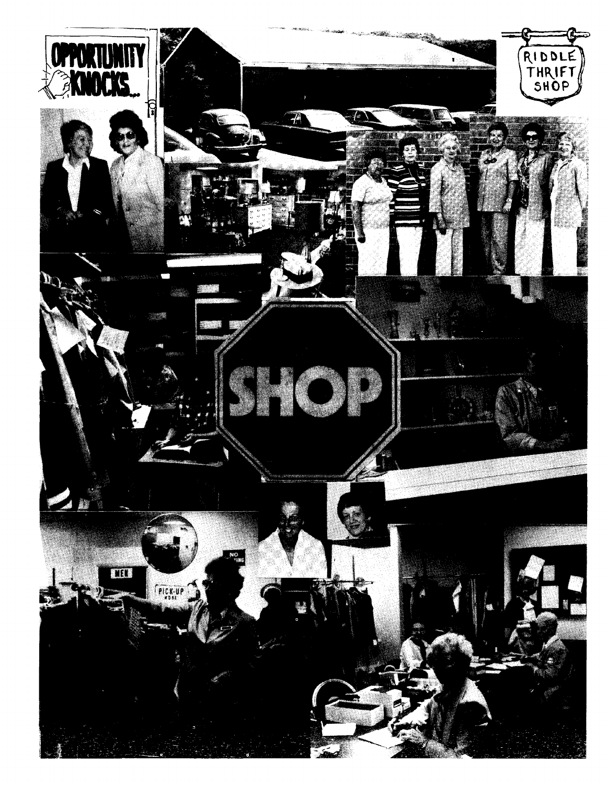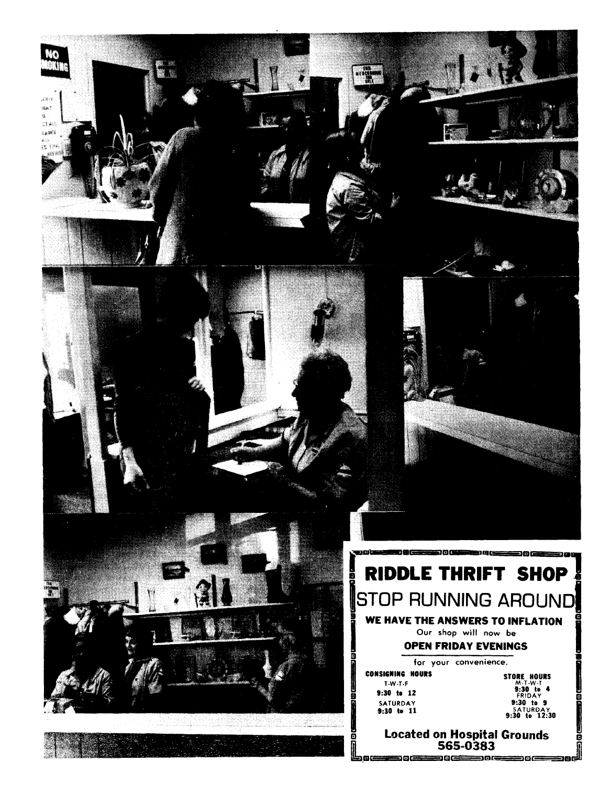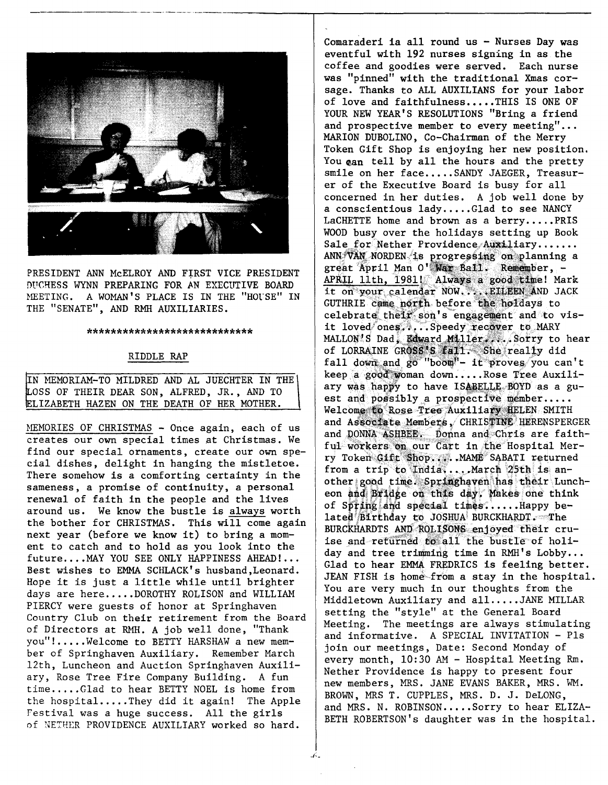

PRESIDENT ANN McELROY AND FiRsT VICE PRESIDENT DUCHESS WYNN PREPARING FOR AN EXECUTIVE BOARD MEETING. A WOMAN'S PLACE IS IN THE "HOUSE" IN THE "SENATE", AND RMH AUXILIARIES.

#### \*\*\*\*\*\*\*\*\*\*\*\*\*\*\*\*\*\*\*\*\*\*\*\*\*\*\*\*

# RIDDLE RAP

IN MEMORIAM-TO MILDRED AND AL JUECHTER IN THE\ LOSS OF THEIR DEAR SON, ALFRED, JR., AND TO LIZABETH HAZEN ON THE DEATH OF HER MOTHER.

MEMORIES OF CHRISTMAS - Once again, each of us creates our own special times at Christmas. We find our special ornaments, create our own special dishes, delight in hanging the mistletoe. There somehow is a comforting certainty in the sameness, a promise of continuity, a personal renewal of faith in the people and the lives around us. We know the bustle is always worth the bother for CHRISTMAS. This will come again next year (before we know it) to bring a moment to catch and to hold as you look into the future....MAY YOU SEE ONLY HAPPINESS AHEAD!... Best wishes to EMMA SCHLACK's husband,Leonard. Hope it is just a little while until brighter days are here.....DOROTHY ROLISON and WILLIAM PIERCY were guests of honor at Springhaven Country Club on their retirement from the Board of Directors at RMH. A job well done, "Thank you"!.....Welcome to BETTY HARSHAW a new member of Springhaven Auxiliary. Remember March 12th, Luncheon and Auction Springhaven Auxiliary, Rose Tree Fire Company Building. A fun time ..... Glad to hear BETTY NOEL is home from the hospital..... They did it again! The Apple Festival was a huge success. All the girls of NETHER PROVIDENCE AUXILIARY worked so hard.

Comaraderi ia all round us - Nurses Day was eventful with 192 nurses signing in as the coffee and goodies were served. Each nurse was "pinned" with the traditional Xmas corsage. Thanks to ALL AUXILIANS for your labor of love and faithfulness.....THIS IS ONE OF YOUR NEW YEAR'S RESOLUTIONS "Bring a friend and prospective member to every meeting"... MARION DUBOLINO, Co-Chairman of the Merry Token Gift Shop is enjoying her new position. You can tell by all the hours and the pretty smile on her face.....SANDY JAEGER. Treasurer of the Executive Board is busy for all concerned in her duties. A job well done by a conscientious lady.....Glad to see NANCY LaCHETTE home and brown as a berry..... $PRIS$ WOOD busy over the holidays setting up Book SalE:<sup>0</sup> -tor Nether. Providence,,·~~.iary •.....• ANN VAN NORDEN is progressing on planning a great April Man O' War Bail. Remember, -APRIL 11th, 1981! Always a good time! Mark it on your calendar NOW.... EILEEN AND JACK GUTHRIE came north before the holdays to celebrate their son's engagement and to visit loved ones.....Speedy recover to MARY MALLON'S Dad, Edward Miller .... Sorry to hear of LORRAINE GROSS'S fall. She really did fall down and go "boom"- it proves you can't keep a good woman down.....Rose Tree Auxiliary was happy to have ISABELLE BOYD as a guest and possibly a prospective member..... Welcome to Rose Tree Auxiliary HELEN SMITH and Associate Members, CHRISTINE HERENSPERGER and DONNA ASHBEE. Donna and Chris are faithful workers on our Cart in the Hospital Merry Token Gift Shop.... MAME SABATI returned from a trip to India, ... March  $25th$  is another good time. Springhaven has their Luncheon and Bridge on this day, Makes one think of Spring and special times:  $\dots$  . Happy belated Birthday to JOSHUA BURCKHARDT. The BURCKHARDTS AND ROLISONS enjoyed their cruise and returned to all the bustle of holiday and tree trimming time in RMH's Lobby... Glad to hear EMMA FREDRICS is feeling better. JEAN FISH is home-from a stay in the hospital. You are very much in our thoughts from the Middletown Auxiliary and all .•..• JANE MILLAR setting the "style" at the General Board Meeting. The meetings are always stimulating and informative. A SPECIAL INVITATION - Pls join our meetings, Date: Second Monday of every month, 10:30 AM - Hospital Meeting Rm. Nether Providence is happy to present four new members, MRS. JANE EVANS BAKER, MRS. WM. BROWN, MRS T. CUPPLES, MRS. D. J. DeLONG, and MRS. N. ROBINSON.....Sorry to hear ELIZA-BETH ROBERTSON's daughter was in the hospital.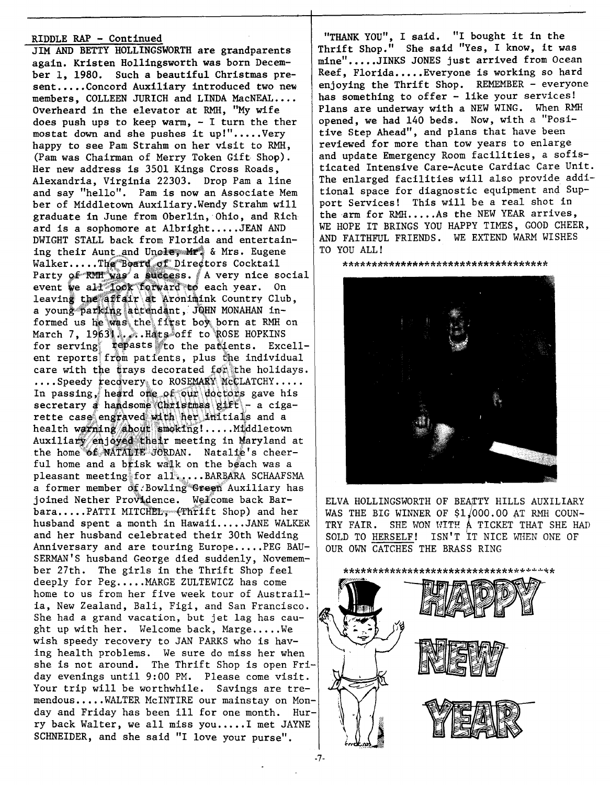# RIDDLE RAP - Continued

JIM AND BETTY HOLLINGSWORTH aregrandparents again. Kristen Hollingsworth was born December 1, 1980. Such a beautiful Christmas present.....Concord Auxiliary introduced two new members, COLLEEN JURICH and LINDA MacNEAL.... Overheard in the elevator at RMH, "My wife does push ups to keep warm,  $-$  I turn the ther mostat down and she pushes it up!".....Very happy to see Pam Strahm on her visit to RMH, (Pam was Chairman of Merry Token Gift. Shop). Her new address is 3501 Kings Cross Roads, Alexandria, Virginia 22303. Drop Pam a line and say "hello". Pam is now an Associate Mem ber of Middletown Auxiliary.Wendy Strahm will graduate in June from Oberlin, Ohio, and Rich ard is a sophomore at Albright.....JEAN AND DWIGHT STALL back from Florida and entertaining their Aunt and Uncley Mr. & Mrs. Eugene Walker.....The Board of Directors Cocktail Party of RMH was a success. A very nice social event we all look forward to each year. On leaving the affair at Aronimink Country Club, a young parking attendant, JQHN MONAHAN informed us he was the first boy born at RMH on March 7, 1963, ... Hats off to ROSE HOPKINS for serving  $\texttt{repasts}$  to the parients. Excellent reports from patients, plus the individual care with the trays decorated fon the holidays.  $\ldots$  Speedy recovery; to ROSEMARY WCCLATCHY..... In passing, heard one of our doctors gave his secretary ha,\dsom ~M £1~ a cigarette case engraved with her initials and a<br>rette case engraved with her initials and a health warning about smoking!.....Middletown Auxiliary enjoyed their meeting in Maryland at the home of NATALIE JORDAN. Natalie's cheerful home and a brisk walk on the beach was a pleasant meeting for all.....BARBARA SCHAAFSMA a former member of Bowling Green Auxiliary has joined Nether Providence. Welcome back Barbara.....PATTI MITCHEL, (Thrift Shop) and her husband spent a month in Hawaii.....JANE WALKER  $\parallel$  TRY FAIR. and her husband celebrated their 30th Wedding Anniversary and are touring Europe.....PEG BAU-SERMAN'S husband George died suddenly, Novemember 27th. The girls in the Thrift Shop feel deeply for Peg.....MARGE ZULTEWICZ has come home to us from her five week tour of Austrailia, New Zealand, Bali, Figi, and San Francisco. She had a grand vacation, but jet lag has caught up with her. Welcome back, Marge..... We wish speedy recovery to JAN PARKS who is having health problems. We sure do miss her when she is not around. The Thrift Shop is open Friday evenings until 9:00 PM. Please come visit. Your trip will be worthwhile. Savings are tremendous .•••. WALTER McINTIRE our mainstay on Monday and Friday has been ill for one month. Hurry back Walter, we all miss you.....I met JAYNE SCHNEIDER, and she said "I love your purse".

"THANK YOU", I said. "I bought it in the Thrift Shop." She said "Yes, I know, it was mine".....JINKS JONES just arrived from Ocean Reef, Florida..... Everyone is working so hard enjoying the Thrift Shop. REMEMBER - everyone has something to offer - like your services! Plans are underway with a NEW WING. When RMH opened, we had 140 beds. Now, with a "Positive Step Ahead", and plans that have been reviewed for more than tow years to enlarge and update Emergency Room facilities, a sofisticated Intensive Care-Acute Cardiac Care Unit. The enlarged facilities will also provide additional space for diagnostic equipment and Support Services! This will be a real shot in the arm for RMH.....As the NEW YEAR arrives, WE HOPE IT BRINGS YOU HAPPY TIMES, GOOD CHEER, AND FAITHFUL FRIENDS. WE EXTEND WARM WISHES TO YOU ALL!

\*\*\*\*\*\*\*\*\*\*\*\*\*\*\*\*\*\*\*\*\*\*\*\*\*\*\*\*\*\*\*\*\*\*\*



ELVA HOLLINGSWORTH OF BEATTY HILLS AUXILIARY WAS THE BIG WINNER OF  $$1/000.00$  AT RMH COUN-SHE WON WITH A TICKET THAT SHE HAD SOLD TO HERSELF! ISN'T IT NICE WHEN ONE OF OUR OWN CATCHES THE BRASS RING



-7-